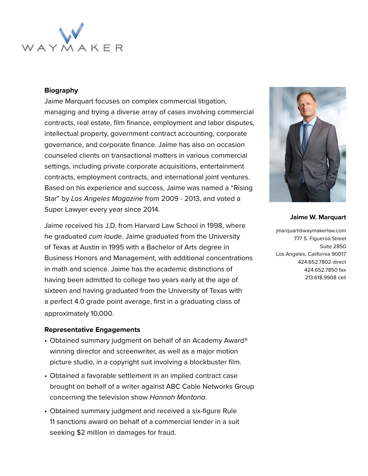

### **Biography**

Jaime Marquart focuses on complex commercial litigation, managing and trying a diverse array of cases involving commercial contracts, real estate, film finance, employment and labor disputes, intellectual property, government contract accounting, corporate governance, and corporate finance. Jaime has also on occasion counseled clients on transactional matters in various commercial settings, including private corporate acquisitions, entertainment contracts, employment contracts, and international joint ventures. Based on his experience and success, Jaime was named a "Rising Star" by Los Angeles Magazine from 2009 - 2013, and voted a Super Lawyer every year since 2014.

Jaime received his J.D. from Harvard Law School in 1998, where he graduated cum laude. Jaime graduated from the University of Texas at Austin in 1995 with a Bachelor of Arts degree in Business Honors and Management, with additional concentrations in math and science. Jaime has the academic distinctions of having been admitted to college two years early at the age of sixteen and having graduated from the University of Texas with a perfect 4.0 grade point average, first in a graduating class of approximately 10,000.

#### **Representative Engagements**

- Obtained summary judgment on behalf of an Academy Award® winning director and screenwriter, as well as a major motion picture studio, in a copyright suit involving a blockbuster film.
- Obtained a favorable settlement in an implied contract case brought on behalf of a writer against ABC Cable Networks Group concerning the television show Hannah Montana.
- Obtained summary judgment and received a six-figure Rule 11 sanctions award on behalf of a commercial lender in a suit seeking \$2 million in damages for fraud.



#### **Jaime W. Marquart**

jmarquart@waymakerlaw.com 777 S. Figueroa Street Suite 2850 Los Angeles, California 90017 424.652.7802 direct 424.652.7850 fax 213.618.9908 cell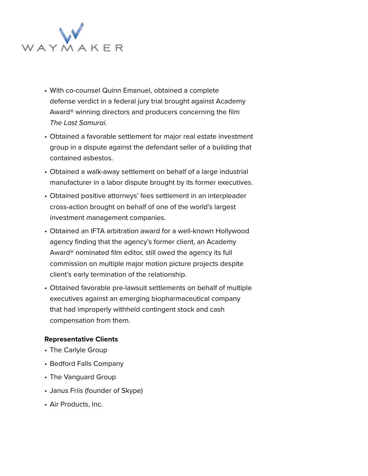

- With co-counsel Quinn Emanuel, obtained a complete defense verdict in a federal jury trial brought against Academy Award® winning directors and producers concerning the film The Last Samurai.
- Obtained a favorable settlement for major real estate investment group in a dispute against the defendant seller of a building that contained asbestos.
- Obtained a walk-away settlement on behalf of a large industrial manufacturer in a labor dispute brought by its former executives.
- Obtained positive attorneys' fees settlement in an interpleader cross-action brought on behalf of one of the world's largest investment management companies.
- Obtained an IFTA arbitration award for a well-known Hollywood agency finding that the agency's former client, an Academy Award® nominated film editor, still owed the agency its full commission on multiple major motion picture projects despite client's early termination of the relationship.
- Obtained favorable pre-lawsuit settlements on behalf of multiple executives against an emerging biopharmaceutical company that had improperly withheld contingent stock and cash compensation from them.

## **Representative Clients**

- The Carlyle Group
- Bedford Falls Company
- The Vanguard Group
- Janus Friis (founder of Skype)
- Air Products, Inc.